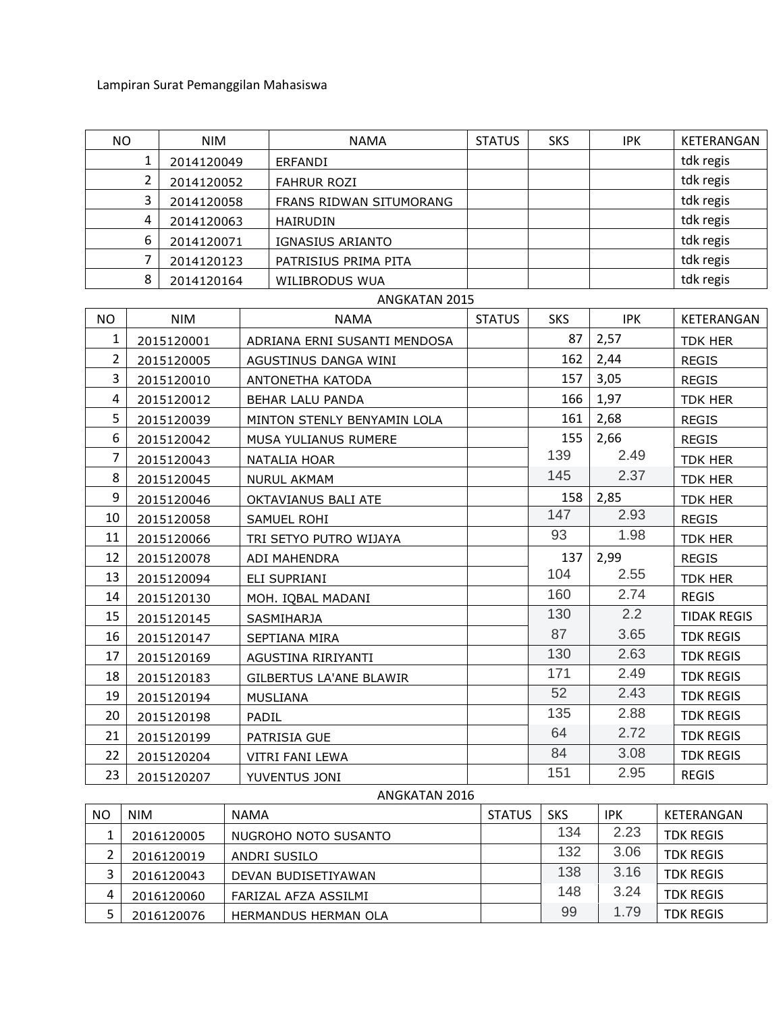Lampiran Surat Pemanggilan Mahasiswa

| <b>NO</b><br><b>NIM</b> |                              |            | <b>NAMA</b> | <b>STATUS</b>                | <b>SKS</b>    | <b>IPK</b> | KETERANGAN |                    |
|-------------------------|------------------------------|------------|-------------|------------------------------|---------------|------------|------------|--------------------|
|                         | $\mathbf{1}$<br>2014120049   |            |             | ERFANDI                      |               |            |            | tdk regis          |
|                         | $\overline{2}$<br>2014120052 |            |             | <b>FAHRUR ROZI</b>           |               |            |            | tdk regis          |
|                         | 3                            | 2014120058 |             | FRANS RIDWAN SITUMORANG      |               |            |            | tdk regis          |
|                         | 4                            | 2014120063 |             | <b>HAIRUDIN</b>              |               |            |            | tdk regis          |
|                         | 6                            | 2014120071 |             | IGNASIUS ARIANTO             |               |            |            | tdk regis          |
|                         | 7<br>2014120123              |            |             | PATRISIUS PRIMA PITA         |               |            |            | tdk regis          |
|                         | 8                            | 2014120164 |             | WILIBRODUS WUA               |               |            |            | tdk regis          |
|                         |                              |            |             | ANGKATAN 2015                |               |            |            |                    |
| <b>NO</b>               |                              | <b>NIM</b> |             | <b>NAMA</b>                  | <b>STATUS</b> | <b>SKS</b> | <b>IPK</b> | KETERANGAN         |
| 1                       |                              | 2015120001 |             | ADRIANA ERNI SUSANTI MENDOSA |               | 87         | 2,57       | <b>TDK HER</b>     |
| $\overline{2}$          |                              | 2015120005 |             | AGUSTINUS DANGA WINI         |               | 162        | 2,44       | <b>REGIS</b>       |
| 3                       |                              | 2015120010 |             | ANTONETHA KATODA             |               | 157        | 3,05       | REGIS              |
| 4                       |                              | 2015120012 |             | BEHAR LALU PANDA             |               | 166        | 1,97       | TDK HER            |
| 5                       |                              | 2015120039 |             | MINTON STENLY BENYAMIN LOLA  |               | 161        | 2,68       | <b>REGIS</b>       |
| 6                       |                              | 2015120042 |             | MUSA YULIANUS RUMERE         |               | 155        | 2,66       | <b>REGIS</b>       |
| $\overline{7}$          | 2015120043                   |            |             | NATALIA HOAR                 |               | 139        | 2.49       | <b>TDK HER</b>     |
| 8                       | 2015120045                   |            |             | <b>NURUL AKMAM</b>           |               | 145        | 2.37       | <b>TDK HER</b>     |
| 9                       |                              | 2015120046 |             | OKTAVIANUS BALI ATE          |               | 158        | 2,85       | TDK HER            |
| 10                      |                              | 2015120058 |             | SAMUEL ROHI                  |               | 147        | 2.93       | <b>REGIS</b>       |
| 11                      |                              | 2015120066 |             | TRI SETYO PUTRO WIJAYA       |               | 93         | 1.98       | TDK HER            |
| 12                      |                              | 2015120078 |             | ADI MAHENDRA                 |               | 137        | 2,99       | <b>REGIS</b>       |
| 13                      |                              | 2015120094 |             | ELI SUPRIANI                 |               | 104        | 2.55       | <b>TDK HER</b>     |
| 14                      |                              | 2015120130 |             | MOH. IQBAL MADANI            |               | 160        | 2.74       | <b>REGIS</b>       |
| 15                      |                              | 2015120145 |             | SASMIHARJA                   |               | 130        | 2.2        | <b>TIDAK REGIS</b> |
| 16                      |                              | 2015120147 |             | SEPTIANA MIRA                |               | 87         | 3.65       | <b>TDK REGIS</b>   |
| 17                      |                              | 2015120169 |             | AGUSTINA RIRIYANTI           |               | 130        | 2.63       | <b>TDK REGIS</b>   |
| 18                      |                              | 2015120183 |             | GILBERTUS LA'ANE BLAWIR      |               | 171        | 2.49       | <b>TDK REGIS</b>   |
| 19                      | 2015120194                   |            |             | MUSLIANA                     |               | 52         | 2.43       | <b>TDK REGIS</b>   |
| 20                      |                              | 2015120198 |             | PADIL                        |               | 135        | 2.88       | <b>TDK REGIS</b>   |
| 21                      |                              | 2015120199 |             | PATRISIA GUE                 |               | 64         | 2.72       | <b>TDK REGIS</b>   |
| 22                      | 2015120204                   |            |             | <b>VITRI FANI LEWA</b>       |               | 84         | 3.08       | <b>TDK REGIS</b>   |

## ANGKATAN 2016

23 2015120207 YUVENTUS JONI 151 2.95 REGIS

| NO. | <b>NIM</b> | <b>NAMA</b>                 | <b>STATUS</b> | <b>SKS</b> | <b>IPK</b> | KETERANGAN       |
|-----|------------|-----------------------------|---------------|------------|------------|------------------|
|     | 2016120005 | NUGROHO NOTO SUSANTO        |               | 134        | 2.23       | <b>TDK REGIS</b> |
|     | 2016120019 | ANDRI SUSILO                |               | 132        | 3.06       | <b>TDK REGIS</b> |
|     | 2016120043 | DEVAN BUDISETIYAWAN         |               | 138        | 3.16       | <b>TDK REGIS</b> |
|     | 2016120060 | FARIZAL AFZA ASSILMI        |               | 148        | 3.24       | <b>TDK REGIS</b> |
|     | 2016120076 | <b>HERMANDUS HERMAN OLA</b> |               | 99         | 1.79       | <b>TDK REGIS</b> |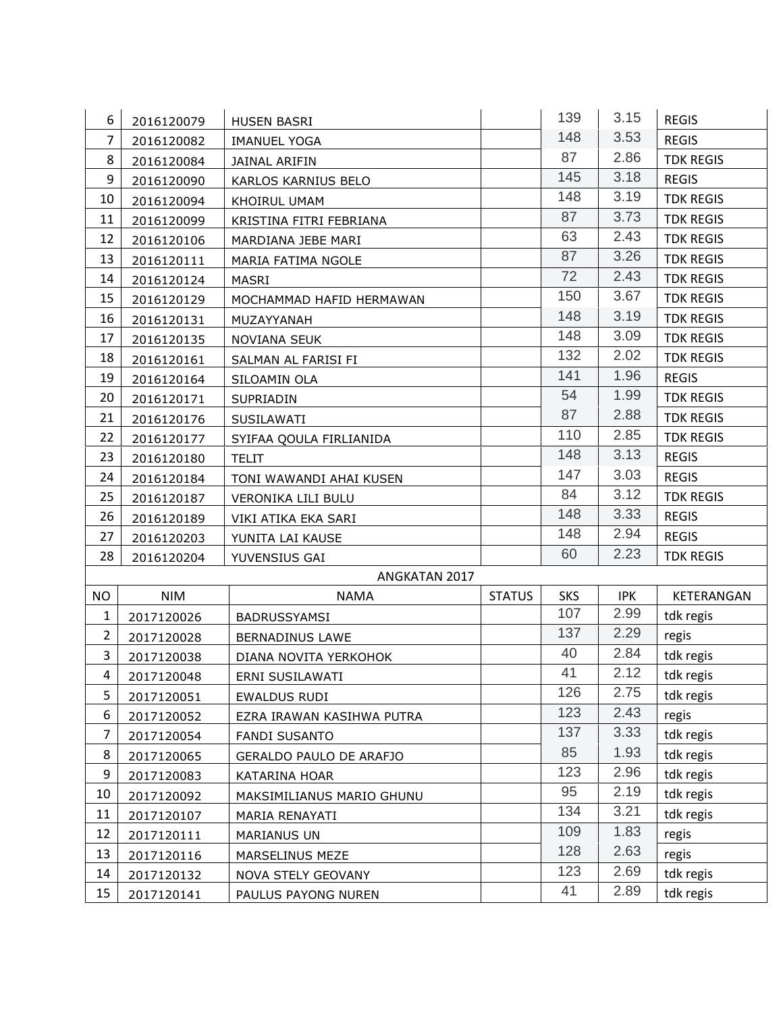| 6              | 2016120079 | <b>HUSEN BASRI</b>        |               | 139        | 3.15       | <b>REGIS</b>     |
|----------------|------------|---------------------------|---------------|------------|------------|------------------|
| 7              | 2016120082 | <b>IMANUEL YOGA</b>       |               | 148        | 3.53       | <b>REGIS</b>     |
| 8              | 2016120084 | <b>JAINAL ARIFIN</b>      |               | 87         | 2.86       | <b>TDK REGIS</b> |
| 9              | 2016120090 | KARLOS KARNIUS BELO       |               | 145        | 3.18       | <b>REGIS</b>     |
| 10             | 2016120094 | KHOIRUL UMAM              |               | 148        | 3.19       | <b>TDK REGIS</b> |
| 11             | 2016120099 | KRISTINA FITRI FEBRIANA   |               | 87         | 3.73       | <b>TDK REGIS</b> |
| 12             | 2016120106 | MARDIANA JEBE MARI        |               | 63         | 2.43       | <b>TDK REGIS</b> |
| 13             | 2016120111 | MARIA FATIMA NGOLE        |               | 87         | 3.26       | <b>TDK REGIS</b> |
| 14             | 2016120124 | <b>MASRI</b>              |               | 72         | 2.43       | <b>TDK REGIS</b> |
| 15             | 2016120129 | MOCHAMMAD HAFID HERMAWAN  |               | 150        | 3.67       | <b>TDK REGIS</b> |
| 16             | 2016120131 | MUZAYYANAH                |               | 148        | 3.19       | <b>TDK REGIS</b> |
| 17             | 2016120135 | NOVIANA SEUK              |               | 148        | 3.09       | <b>TDK REGIS</b> |
| 18             | 2016120161 | SALMAN AL FARISI FI       |               | 132        | 2.02       | <b>TDK REGIS</b> |
| 19             | 2016120164 | SILOAMIN OLA              |               | 141        | 1.96       | <b>REGIS</b>     |
| 20             | 2016120171 | SUPRIADIN                 |               | 54         | 1.99       | <b>TDK REGIS</b> |
| 21             | 2016120176 | SUSILAWATI                |               | 87         | 2.88       | <b>TDK REGIS</b> |
| 22             | 2016120177 | SYIFAA QOULA FIRLIANIDA   |               | 110        | 2.85       | <b>TDK REGIS</b> |
| 23             | 2016120180 | <b>TELIT</b>              |               | 148        | 3.13       | <b>REGIS</b>     |
| 24             | 2016120184 | TONI WAWANDI AHAI KUSEN   |               | 147        | 3.03       | <b>REGIS</b>     |
| 25             | 2016120187 | VERONIKA LILI BULU        |               | 84         | 3.12       | <b>TDK REGIS</b> |
| 26             | 2016120189 | VIKI ATIKA EKA SARI       |               | 148        | 3.33       | <b>REGIS</b>     |
| 27             | 2016120203 | YUNITA LAI KAUSE          |               | 148        | 2.94       | <b>REGIS</b>     |
| 28             | 2016120204 | YUVENSIUS GAI             |               | 60         | 2.23       | <b>TDK REGIS</b> |
|                |            | ANGKATAN 2017             |               |            |            |                  |
| NO             | <b>NIM</b> | <b>NAMA</b>               | <b>STATUS</b> | <b>SKS</b> | <b>IPK</b> | KETERANGAN       |
| $\mathbf{1}$   | 2017120026 | BADRUSSYAMSI              |               | 107        | 2.99       | tdk regis        |
| $\overline{2}$ | 2017120028 | BERNADINUS LAWE           |               | 137        | 2.29       | regis            |
| $\overline{3}$ | 2017120038 | DIANA NOVITA YERKOHOK     |               | 40         | 2.84       | tdk regis        |
| 4              | 2017120048 | ERNI SUSILAWATI           |               | 41         | 2.12       | tdk regis        |
| 5              | 2017120051 | EWALDUS RUDI              |               | 126        | 2.75       | tdk regis        |
| 6              | 2017120052 | EZRA IRAWAN KASIHWA PUTRA |               | 123        | 2.43       | regis            |
| $\overline{7}$ | 2017120054 | <b>FANDI SUSANTO</b>      |               | 137        | 3.33       | tdk regis        |
| 8              | 2017120065 | GERALDO PAULO DE ARAFJO   |               | 85         | 1.93       | tdk regis        |
| 9              | 2017120083 | KATARINA HOAR             |               | 123        | 2.96       | tdk regis        |
| 10             | 2017120092 | MAKSIMILIANUS MARIO GHUNU |               | 95         | 2.19       | tdk regis        |
| 11             | 2017120107 | MARIA RENAYATI            |               | 134        | 3.21       | tdk regis        |
| 12             | 2017120111 | <b>MARIANUS UN</b>        |               | 109        | 1.83       | regis            |
| 13             | 2017120116 | MARSELINUS MEZE           |               | 128        | 2.63       | regis            |
| 14             | 2017120132 | NOVA STELY GEOVANY        |               | 123        | 2.69       | tdk regis        |
| 15             | 2017120141 | PAULUS PAYONG NUREN       |               | 41         | 2.89       | tdk regis        |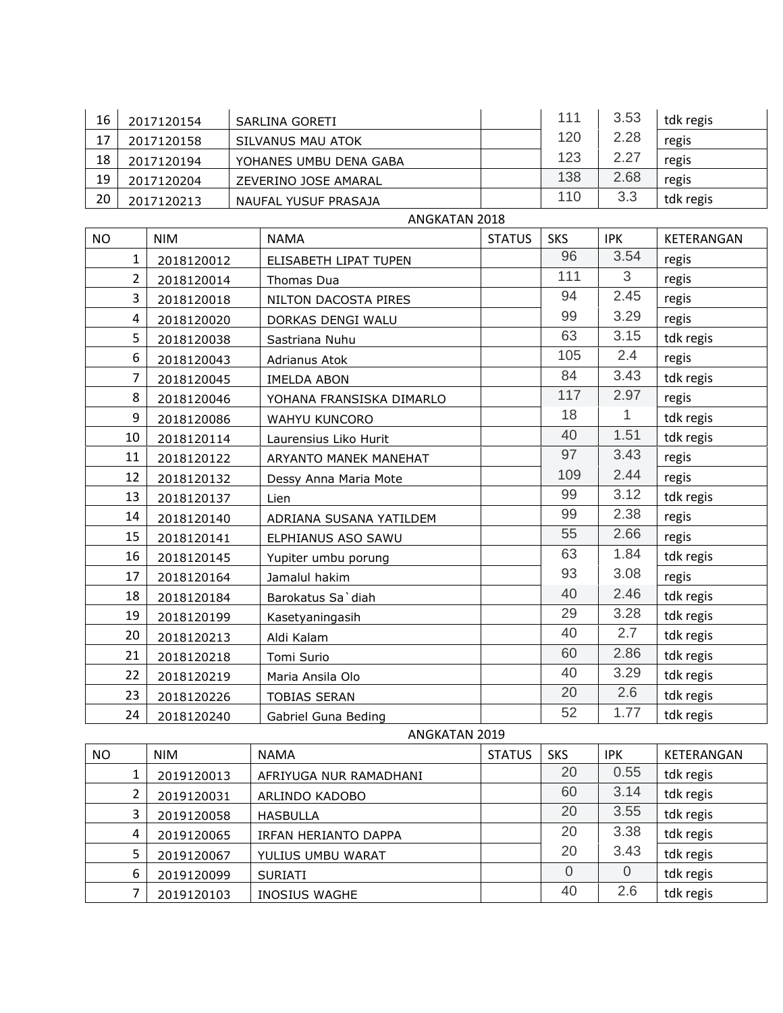| 16            |                | 2017120154 |  | SARLINA GORETI           |               | 111        | 3.53         | tdk regis  |  |  |  |
|---------------|----------------|------------|--|--------------------------|---------------|------------|--------------|------------|--|--|--|
| 17            |                | 2017120158 |  | SILVANUS MAU ATOK        |               | 120        | 2.28         | regis      |  |  |  |
| 18            |                | 2017120194 |  | YOHANES UMBU DENA GABA   |               | 123        | 2.27         | regis      |  |  |  |
| 19            | 2017120204     |            |  | ZEVERINO JOSE AMARAL     |               | 138        | 2.68         | regis      |  |  |  |
| 20            |                | 2017120213 |  | NAUFAL YUSUF PRASAJA     |               | 110        | 3.3          | tdk regis  |  |  |  |
|               | ANGKATAN 2018  |            |  |                          |               |            |              |            |  |  |  |
| <b>NO</b>     |                | <b>NIM</b> |  | <b>NAMA</b>              | <b>STATUS</b> | <b>SKS</b> | <b>IPK</b>   | KETERANGAN |  |  |  |
|               | 1              | 2018120012 |  | ELISABETH LIPAT TUPEN    |               | 96         | 3.54         | regis      |  |  |  |
|               | $\overline{2}$ | 2018120014 |  | Thomas Dua               |               | 111        | 3            | regis      |  |  |  |
|               | 3              | 2018120018 |  | NILTON DACOSTA PIRES     |               | 94         | 2.45         | regis      |  |  |  |
|               | $\overline{4}$ | 2018120020 |  | DORKAS DENGI WALU        |               | 99         | 3.29         | regis      |  |  |  |
|               | 5              | 2018120038 |  | Sastriana Nuhu           |               | 63         | 3.15         | tdk regis  |  |  |  |
|               | 6              | 2018120043 |  | Adrianus Atok            |               | 105        | 2.4          | regis      |  |  |  |
|               | $\overline{7}$ | 2018120045 |  | <b>IMELDA ABON</b>       |               | 84         | 3.43         | tdk regis  |  |  |  |
|               | 8              | 2018120046 |  | YOHANA FRANSISKA DIMARLO |               | 117        | 2.97         | regis      |  |  |  |
|               | 9              | 2018120086 |  | WAHYU KUNCORO            |               | 18         | $\mathbf{1}$ | tdk regis  |  |  |  |
|               | 10             | 2018120114 |  | Laurensius Liko Hurit    |               | 40         | 1.51         | tdk regis  |  |  |  |
|               | 11             | 2018120122 |  | ARYANTO MANEK MANEHAT    |               | 97         | 3.43         | regis      |  |  |  |
|               | 12             | 2018120132 |  | Dessy Anna Maria Mote    |               | 109        | 2.44         | regis      |  |  |  |
|               | 13             | 2018120137 |  | Lien                     |               | 99         | 3.12         | tdk regis  |  |  |  |
|               | 14             | 2018120140 |  | ADRIANA SUSANA YATILDEM  |               | 99         | 2.38         | regis      |  |  |  |
|               | 15             | 2018120141 |  | ELPHIANUS ASO SAWU       |               | 55         | 2.66         | regis      |  |  |  |
|               | 16             | 2018120145 |  | Yupiter umbu porung      |               | 63         | 1.84         | tdk regis  |  |  |  |
|               | 17             | 2018120164 |  | Jamalul hakim            |               | 93         | 3.08         | regis      |  |  |  |
|               | 18             | 2018120184 |  | Barokatus Sa'diah        |               | 40         | 2.46         | tdk regis  |  |  |  |
|               | 19             | 2018120199 |  | Kasetyaningasih          |               | 29         | 3.28         | tdk regis  |  |  |  |
|               | 20             | 2018120213 |  | Aldi Kalam               |               | 40         | 2.7          | tdk regis  |  |  |  |
|               | 21             | 2018120218 |  | Tomi Surio               |               | 60         | 2.86         | tdk regis  |  |  |  |
|               | 22             | 2018120219 |  | Maria Ansila Olo         |               | 40         | 3.29         | tdk regis  |  |  |  |
|               | 23             | 2018120226 |  | <b>TOBIAS SERAN</b>      |               | 20         | 2.6          | tdk regis  |  |  |  |
|               | 24             | 2018120240 |  | Gabriel Guna Beding      |               | 52         | 1.77         | tdk regis  |  |  |  |
| ANGKATAN 2019 |                |            |  |                          |               |            |              |            |  |  |  |
| <b>NO</b>     |                | <b>NIM</b> |  | <b>NAMA</b>              | <b>STATUS</b> | <b>SKS</b> | <b>IPK</b>   | KETERANGAN |  |  |  |
|               | 1              | 2019120013 |  | AFRIYUGA NUR RAMADHANI   |               | 20         | 0.55         | tdk regis  |  |  |  |
|               | $\overline{2}$ | 2019120031 |  | ARLINDO KADOBO           |               | 60         | 3.14         | tdk regis  |  |  |  |
|               | 3              | 2019120058 |  | <b>HASBULLA</b>          |               | 20         | 3.55         | tdk regis  |  |  |  |
|               | 4              | 2019120065 |  | IRFAN HERIANTO DAPPA     |               | 20         | 3.38         | tdk regis  |  |  |  |

EXAM HERIANTO DAPPA 20 3.38 tdk regis<br>
4 20 3.43 tdk regis

<sup>2019120067</sup> YULIUS UMBU WARAT 20 3.43 tdk regis

 <sup>2019120099</sup> SURIATI 0 0 tdk regis <sup>2019120103</sup> INOSIUS WAGHE 40 2.6 tdk regis